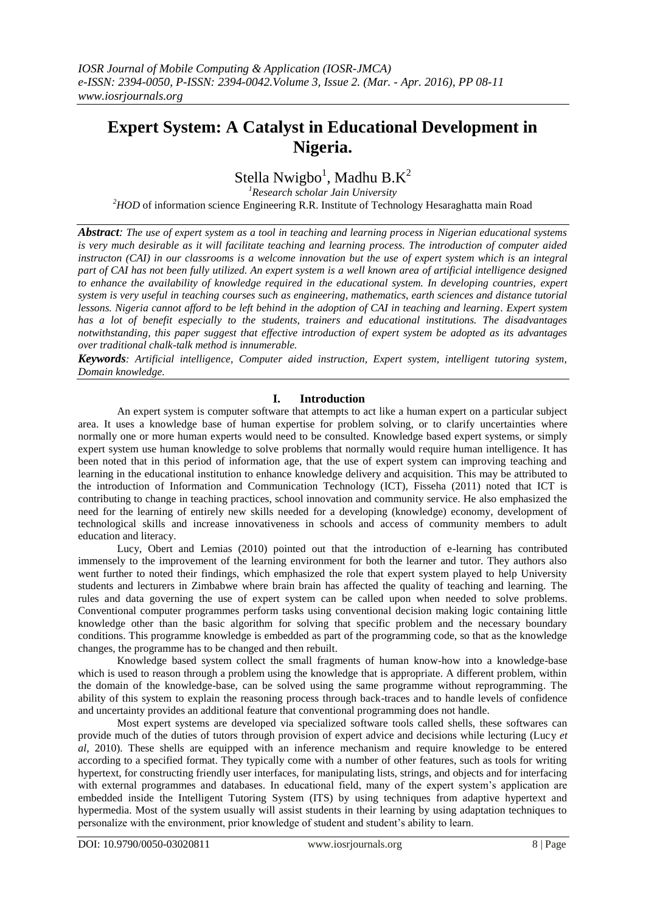# **Expert System: A Catalyst in Educational Development in Nigeria.**

# Stella Nwigbo<sup>1</sup>, Madhu B.K<sup>2</sup>

*<sup>1</sup>Research scholar Jain University*

*<sup>2</sup>HOD* of information science Engineering R.R. Institute of Technology Hesaraghatta main Road

*Abstract: The use of expert system as a tool in teaching and learning process in Nigerian educational systems is very much desirable as it will facilitate teaching and learning process. The introduction of computer aided instructon (CAI) in our classrooms is a welcome innovation but the use of expert system which is an integral part of CAI has not been fully utilized. An expert system is a well known area of artificial intelligence designed to enhance the availability of knowledge required in the educational system. In developing countries, expert system is very useful in teaching courses such as engineering, mathematics, earth sciences and distance tutorial lessons. Nigeria cannot afford to be left behind in the adoption of CAI in teaching and learning. Expert system has a lot of benefit especially to the students, trainers and educational institutions. The disadvantages notwithstanding, this paper suggest that effective introduction of expert system be adopted as its advantages over traditional chalk-talk method is innumerable.*

*Keywords: Artificial intelligence, Computer aided instruction, Expert system, intelligent tutoring system, Domain knowledge.*

# **I. Introduction**

An expert system is computer software that attempts to act like a human expert on a particular subject area. It uses a knowledge base of human expertise for problem solving, or to clarify uncertainties where normally one or more human experts would need to be consulted. Knowledge based expert systems, or simply expert system use human knowledge to solve problems that normally would require human intelligence. It has been noted that in this period of information age, that the use of expert system can improving teaching and learning in the educational institution to enhance knowledge delivery and acquisition. This may be attributed to the introduction of Information and Communication Technology (ICT), Fisseha (2011) noted that ICT is contributing to change in teaching practices, school innovation and community service. He also emphasized the need for the learning of entirely new skills needed for a developing (knowledge) economy, development of technological skills and increase innovativeness in schools and access of community members to adult education and literacy.

Lucy, Obert and Lemias (2010) pointed out that the introduction of e-learning has contributed immensely to the improvement of the learning environment for both the learner and tutor. They authors also went further to noted their findings, which emphasized the role that expert system played to help University students and lecturers in Zimbabwe where brain brain has affected the quality of teaching and learning. The rules and data governing the use of expert system can be called upon when needed to solve problems. Conventional computer programmes perform tasks using conventional decision making logic containing little knowledge other than the basic algorithm for solving that specific problem and the necessary boundary conditions. This programme knowledge is embedded as part of the programming code, so that as the knowledge changes, the programme has to be changed and then rebuilt.

Knowledge based system collect the small fragments of human know-how into a knowledge-base which is used to reason through a problem using the knowledge that is appropriate. A different problem, within the domain of the knowledge-base, can be solved using the same programme without reprogramming. The ability of this system to explain the reasoning process through back-traces and to handle levels of confidence and uncertainty provides an additional feature that conventional programming does not handle.

Most expert systems are developed via specialized software tools called shells, these softwares can provide much of the duties of tutors through provision of expert advice and decisions while lecturing (Lucy *et al,* 2010). These shells are equipped with an inference mechanism and require knowledge to be entered according to a specified format. They typically come with a number of other features, such as tools for writing hypertext, for constructing friendly user interfaces, for manipulating lists, strings, and objects and for interfacing with external programmes and databases. In educational field, many of the expert system's application are embedded inside the Intelligent Tutoring System (ITS) by using techniques from adaptive hypertext and hypermedia. Most of the system usually will assist students in their learning by using adaptation techniques to personalize with the environment, prior knowledge of student and student's ability to learn.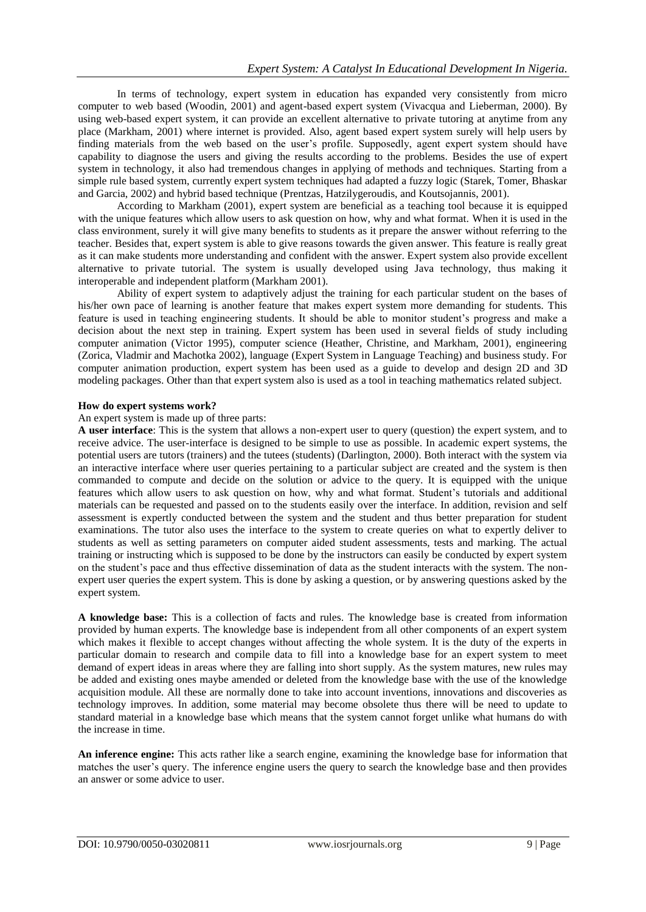In terms of technology, expert system in education has expanded very consistently from micro computer to web based (Woodin, 2001) and agent-based expert system (Vivacqua and Lieberman, 2000). By using web-based expert system, it can provide an excellent alternative to private tutoring at anytime from any place (Markham, 2001) where internet is provided. Also, agent based expert system surely will help users by finding materials from the web based on the user's profile. Supposedly, agent expert system should have capability to diagnose the users and giving the results according to the problems. Besides the use of expert system in technology, it also had tremendous changes in applying of methods and techniques. Starting from a simple rule based system, currently expert system techniques had adapted a fuzzy logic (Starek, Tomer, Bhaskar and Garcia, 2002) and hybrid based technique (Prentzas, Hatzilygeroudis, and Koutsojannis, 2001).

According to Markham (2001), expert system are beneficial as a teaching tool because it is equipped with the unique features which allow users to ask question on how, why and what format. When it is used in the class environment, surely it will give many benefits to students as it prepare the answer without referring to the teacher. Besides that, expert system is able to give reasons towards the given answer. This feature is really great as it can make students more understanding and confident with the answer. Expert system also provide excellent alternative to private tutorial. The system is usually developed using Java technology, thus making it interoperable and independent platform (Markham 2001).

Ability of expert system to adaptively adjust the training for each particular student on the bases of his/her own pace of learning is another feature that makes expert system more demanding for students. This feature is used in teaching engineering students. It should be able to monitor student's progress and make a decision about the next step in training. Expert system has been used in several fields of study including computer animation (Victor 1995), computer science (Heather, Christine, and Markham, 2001), engineering (Zorica, Vladmir and Machotka 2002), language (Expert System in Language Teaching) and business study. For computer animation production, expert system has been used as a guide to develop and design 2D and 3D modeling packages. Other than that expert system also is used as a tool in teaching mathematics related subject.

## **How do expert systems work?**

#### An expert system is made up of three parts:

**A user interface**: This is the system that allows a non-expert user to query (question) the expert system, and to receive advice. The user-interface is designed to be simple to use as possible. In academic expert systems, the potential users are tutors (trainers) and the tutees (students) (Darlington, 2000). Both interact with the system via an interactive interface where user queries pertaining to a particular subject are created and the system is then commanded to compute and decide on the solution or advice to the query. It is equipped with the unique features which allow users to ask question on how, why and what format. Student's tutorials and additional materials can be requested and passed on to the students easily over the interface. In addition, revision and self assessment is expertly conducted between the system and the student and thus better preparation for student examinations. The tutor also uses the interface to the system to create queries on what to expertly deliver to students as well as setting parameters on computer aided student assessments, tests and marking. The actual training or instructing which is supposed to be done by the instructors can easily be conducted by expert system on the student's pace and thus effective dissemination of data as the student interacts with the system. The nonexpert user queries the expert system. This is done by asking a question, or by answering questions asked by the expert system.

**A knowledge base:** This is a collection of facts and rules. The knowledge base is created from information provided by human experts. The knowledge base is independent from all other components of an expert system which makes it flexible to accept changes without affecting the whole system. It is the duty of the experts in particular domain to research and compile data to fill into a knowledge base for an expert system to meet demand of expert ideas in areas where they are falling into short supply. As the system matures, new rules may be added and existing ones maybe amended or deleted from the knowledge base with the use of the knowledge acquisition module. All these are normally done to take into account inventions, innovations and discoveries as technology improves. In addition, some material may become obsolete thus there will be need to update to standard material in a knowledge base which means that the system cannot forget unlike what humans do with the increase in time.

**An inference engine:** This acts rather like a search engine, examining the knowledge base for information that matches the user's query. The inference engine users the query to search the knowledge base and then provides an answer or some advice to user.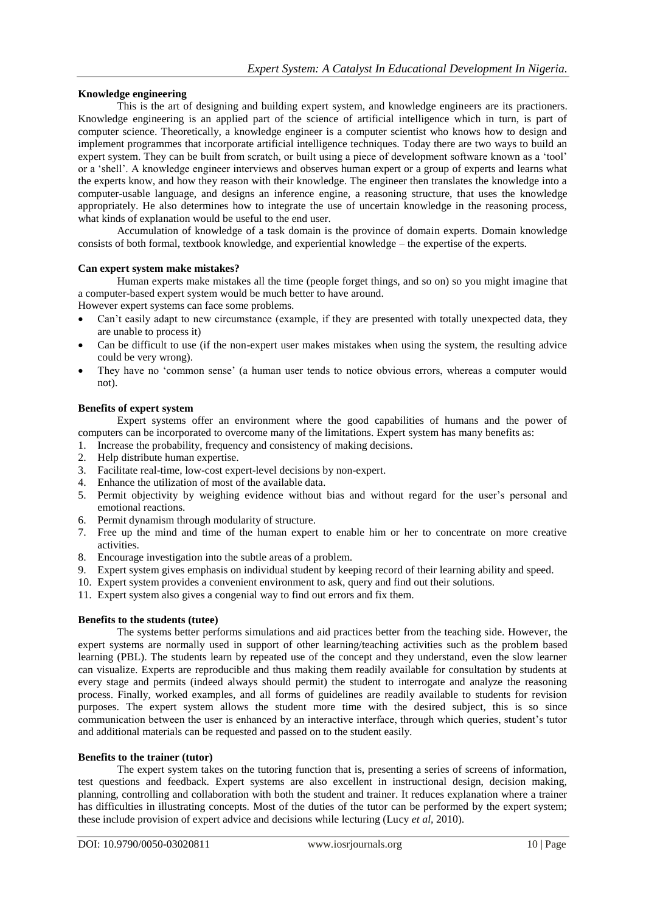# **Knowledge engineering**

This is the art of designing and building expert system, and knowledge engineers are its practioners. Knowledge engineering is an applied part of the science of artificial intelligence which in turn, is part of computer science. Theoretically, a knowledge engineer is a computer scientist who knows how to design and implement programmes that incorporate artificial intelligence techniques. Today there are two ways to build an expert system. They can be built from scratch, or built using a piece of development software known as a 'tool' or a 'shell'. A knowledge engineer interviews and observes human expert or a group of experts and learns what the experts know, and how they reason with their knowledge. The engineer then translates the knowledge into a computer-usable language, and designs an inference engine, a reasoning structure, that uses the knowledge appropriately. He also determines how to integrate the use of uncertain knowledge in the reasoning process, what kinds of explanation would be useful to the end user.

Accumulation of knowledge of a task domain is the province of domain experts. Domain knowledge consists of both formal, textbook knowledge, and experiential knowledge – the expertise of the experts.

## **Can expert system make mistakes?**

Human experts make mistakes all the time (people forget things, and so on) so you might imagine that a computer-based expert system would be much better to have around.

However expert systems can face some problems.

- Can't easily adapt to new circumstance (example, if they are presented with totally unexpected data, they are unable to process it)
- Can be difficult to use (if the non-expert user makes mistakes when using the system, the resulting advice could be very wrong).
- They have no 'common sense' (a human user tends to notice obvious errors, whereas a computer would not).

# **Benefits of expert system**

Expert systems offer an environment where the good capabilities of humans and the power of computers can be incorporated to overcome many of the limitations. Expert system has many benefits as:

- 1. Increase the probability, frequency and consistency of making decisions.
- 2. Help distribute human expertise.
- 3. Facilitate real-time, low-cost expert-level decisions by non-expert.
- 4. Enhance the utilization of most of the available data.
- 5. Permit objectivity by weighing evidence without bias and without regard for the user's personal and emotional reactions.
- 6. Permit dynamism through modularity of structure.
- 7. Free up the mind and time of the human expert to enable him or her to concentrate on more creative activities.
- 8. Encourage investigation into the subtle areas of a problem.
- 9. Expert system gives emphasis on individual student by keeping record of their learning ability and speed.
- 10. Expert system provides a convenient environment to ask, query and find out their solutions.
- 11. Expert system also gives a congenial way to find out errors and fix them.

## **Benefits to the students (tutee)**

The systems better performs simulations and aid practices better from the teaching side. However, the expert systems are normally used in support of other learning/teaching activities such as the problem based learning (PBL). The students learn by repeated use of the concept and they understand, even the slow learner can visualize. Experts are reproducible and thus making them readily available for consultation by students at every stage and permits (indeed always should permit) the student to interrogate and analyze the reasoning process. Finally, worked examples, and all forms of guidelines are readily available to students for revision purposes. The expert system allows the student more time with the desired subject, this is so since communication between the user is enhanced by an interactive interface, through which queries, student's tutor and additional materials can be requested and passed on to the student easily.

# **Benefits to the trainer (tutor)**

The expert system takes on the tutoring function that is, presenting a series of screens of information, test questions and feedback. Expert systems are also excellent in instructional design, decision making, planning, controlling and collaboration with both the student and trainer. It reduces explanation where a trainer has difficulties in illustrating concepts. Most of the duties of the tutor can be performed by the expert system; these include provision of expert advice and decisions while lecturing (Lucy *et al,* 2010).